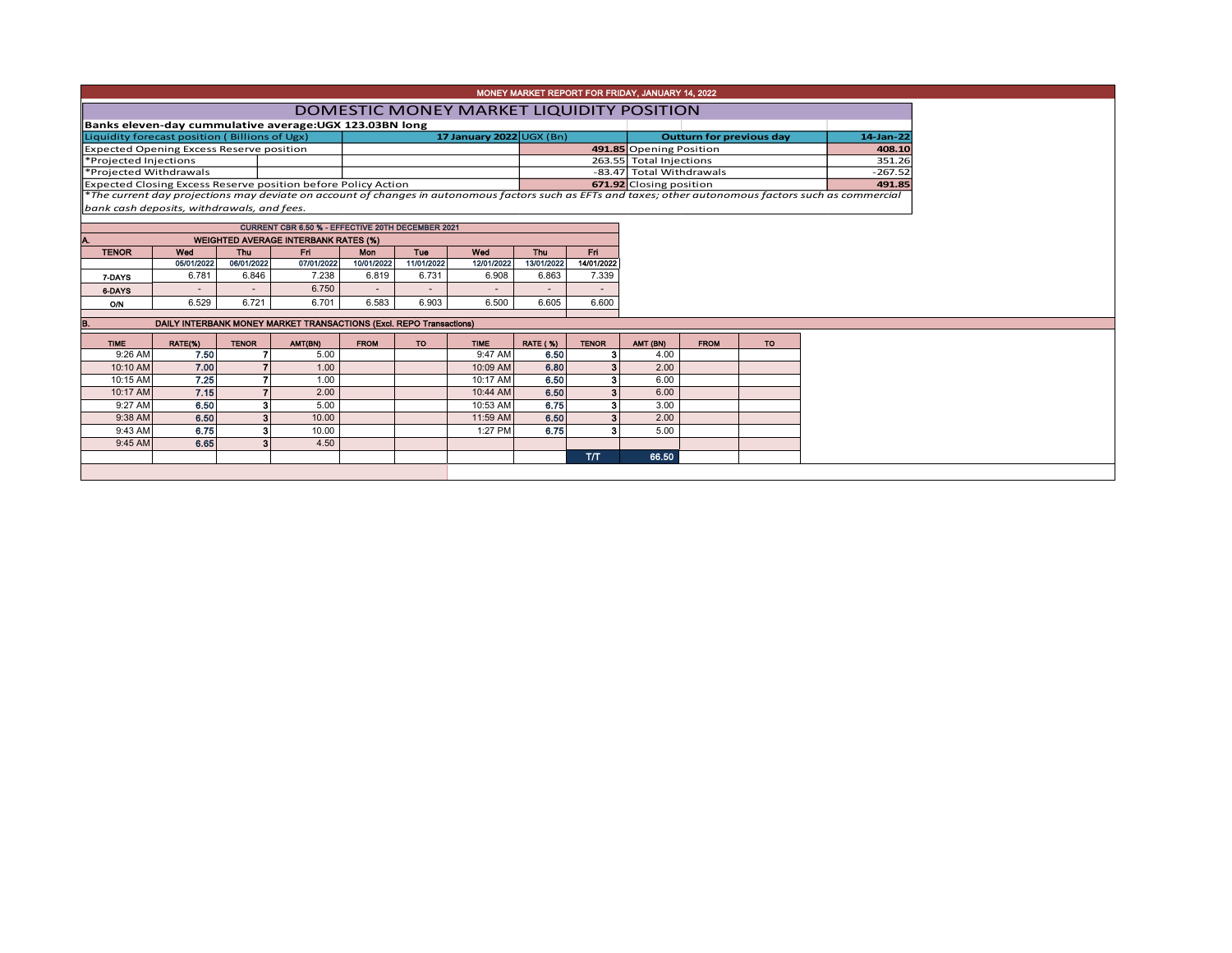|                                                                      |                                                                                                                            |              |                                                                     |             |                          |                                          |                          |                          | MONEY MARKET REPORT FOR FRIDAY, JANUARY 14, 2022 |             |           |                                                                                                                                                          |
|----------------------------------------------------------------------|----------------------------------------------------------------------------------------------------------------------------|--------------|---------------------------------------------------------------------|-------------|--------------------------|------------------------------------------|--------------------------|--------------------------|--------------------------------------------------|-------------|-----------|----------------------------------------------------------------------------------------------------------------------------------------------------------|
|                                                                      |                                                                                                                            |              |                                                                     |             |                          | DOMESTIC MONEY MARKET LIQUIDITY POSITION |                          |                          |                                                  |             |           |                                                                                                                                                          |
| Banks eleven-day cummulative average:UGX 123.03BN long               |                                                                                                                            |              |                                                                     |             |                          |                                          |                          |                          |                                                  |             |           |                                                                                                                                                          |
| Liquidity forecast position (Billions of Ugx)                        |                                                                                                                            |              |                                                                     |             |                          | <b>Outturn for previous day</b>          | 14-Jan-22                |                          |                                                  |             |           |                                                                                                                                                          |
| Expected Opening Excess Reserve position                             |                                                                                                                            |              |                                                                     |             |                          |                                          |                          |                          | 491.85 Opening Position                          |             |           | 408.10                                                                                                                                                   |
| *Projected Injections                                                |                                                                                                                            |              |                                                                     |             |                          |                                          |                          | 263.55 Total Injections  |                                                  |             | 351.26    |                                                                                                                                                          |
| *Projected Withdrawals                                               |                                                                                                                            |              |                                                                     |             |                          |                                          |                          |                          | -83.47 Total Withdrawals                         |             |           | $-267.52$                                                                                                                                                |
| <b>Expected Closing Excess Reserve position before Policy Action</b> |                                                                                                                            |              |                                                                     |             |                          |                                          |                          |                          | 671.92 Closing position                          |             |           | 491.85                                                                                                                                                   |
|                                                                      |                                                                                                                            |              |                                                                     |             |                          |                                          |                          |                          |                                                  |             |           | *The current day projections may deviate on account of changes in autonomous factors such as EFTs and taxes; other autonomous factors such as commercial |
| bank cash deposits, withdrawals, and fees.                           |                                                                                                                            |              |                                                                     |             |                          |                                          |                          |                          |                                                  |             |           |                                                                                                                                                          |
|                                                                      |                                                                                                                            |              | CURRENT CBR 6.50 % - EFFECTIVE 20TH DECEMBER 2021                   |             |                          |                                          |                          |                          |                                                  |             |           |                                                                                                                                                          |
| Α.                                                                   |                                                                                                                            |              |                                                                     |             |                          |                                          |                          |                          |                                                  |             |           |                                                                                                                                                          |
| <b>TENOR</b>                                                         | <b>WEIGHTED AVERAGE INTERBANK RATES (%)</b><br>Fri.<br>Wed<br>Tue<br>Wed<br><b>Thu</b><br>Fri.<br><b>Thu</b><br><b>Mon</b> |              |                                                                     |             |                          |                                          |                          |                          |                                                  |             |           |                                                                                                                                                          |
|                                                                      | 05/01/2022                                                                                                                 | 06/01/2022   | 07/01/2022                                                          | 10/01/2022  | 11/01/2022               | 12/01/2022                               | 13/01/2022               | 14/01/2022               |                                                  |             |           |                                                                                                                                                          |
| 7-DAYS                                                               | 6.781                                                                                                                      | 6.846        | 7.238                                                               | 6.819       | 6.731                    | 6.908                                    | 6.863                    | 7.339                    |                                                  |             |           |                                                                                                                                                          |
| 6-DAYS                                                               |                                                                                                                            |              | 6.750                                                               |             | $\overline{\phantom{a}}$ | $\overline{\phantom{a}}$                 | $\overline{\phantom{a}}$ | $\overline{\phantom{a}}$ |                                                  |             |           |                                                                                                                                                          |
| O/N                                                                  | 6.529                                                                                                                      | 6.721        | 6.701                                                               | 6.583       | 6.903                    | 6.500                                    | 6.605                    | 6.600                    |                                                  |             |           |                                                                                                                                                          |
|                                                                      |                                                                                                                            |              |                                                                     |             |                          |                                          |                          |                          |                                                  |             |           |                                                                                                                                                          |
| B.                                                                   |                                                                                                                            |              | DAILY INTERBANK MONEY MARKET TRANSACTIONS (Excl. REPO Transactions) |             |                          |                                          |                          |                          |                                                  |             |           |                                                                                                                                                          |
| <b>TIME</b>                                                          | RATE(%)                                                                                                                    | <b>TENOR</b> | AMT(BN)                                                             | <b>FROM</b> | TO                       | <b>TIME</b>                              | <b>RATE (%)</b>          | <b>TENOR</b>             | AMT (BN)                                         | <b>FROM</b> | <b>TO</b> |                                                                                                                                                          |
| 9:26 AM                                                              | 7.50                                                                                                                       |              | 5.00                                                                |             |                          | 9:47 AM                                  | 6.50                     | 3                        | 4.00                                             |             |           |                                                                                                                                                          |
| 10:10 AM                                                             | 7.00                                                                                                                       |              | 1.00                                                                |             |                          | 10:09 AM                                 | 6.80                     | 3 <sup>1</sup>           | 2.00                                             |             |           |                                                                                                                                                          |
| 10:15 AM                                                             | 7.25                                                                                                                       |              | 1.00                                                                |             |                          | 10:17 AM                                 | 6.50                     | 3                        | 6.00                                             |             |           |                                                                                                                                                          |
| 10:17 AM                                                             | 7.15                                                                                                                       |              | 2.00                                                                |             |                          | 10:44 AM                                 | 6.50                     |                          | 6.00                                             |             |           |                                                                                                                                                          |
| 9:27 AM                                                              | 6.50                                                                                                                       |              | 5.00                                                                |             |                          | 10:53 AM                                 | 6.75                     | з                        | 3.00                                             |             |           |                                                                                                                                                          |
| 9:38 AM                                                              | 6.50                                                                                                                       |              | 10.00                                                               |             |                          | 11:59 AM                                 | 6.50                     |                          | 2.00                                             |             |           |                                                                                                                                                          |
| 9:43 AM                                                              | 6.75                                                                                                                       |              | 10.00                                                               |             |                          | 1:27 PM                                  | 6.75                     | я                        | 5.00                                             |             |           |                                                                                                                                                          |
| 9:45 AM                                                              | 6.65                                                                                                                       |              | 4.50                                                                |             |                          |                                          |                          |                          |                                                  |             |           |                                                                                                                                                          |
|                                                                      |                                                                                                                            |              |                                                                     |             |                          |                                          |                          | <b>T/T</b>               | 66.50                                            |             |           |                                                                                                                                                          |
|                                                                      |                                                                                                                            |              |                                                                     |             |                          |                                          |                          |                          |                                                  |             |           |                                                                                                                                                          |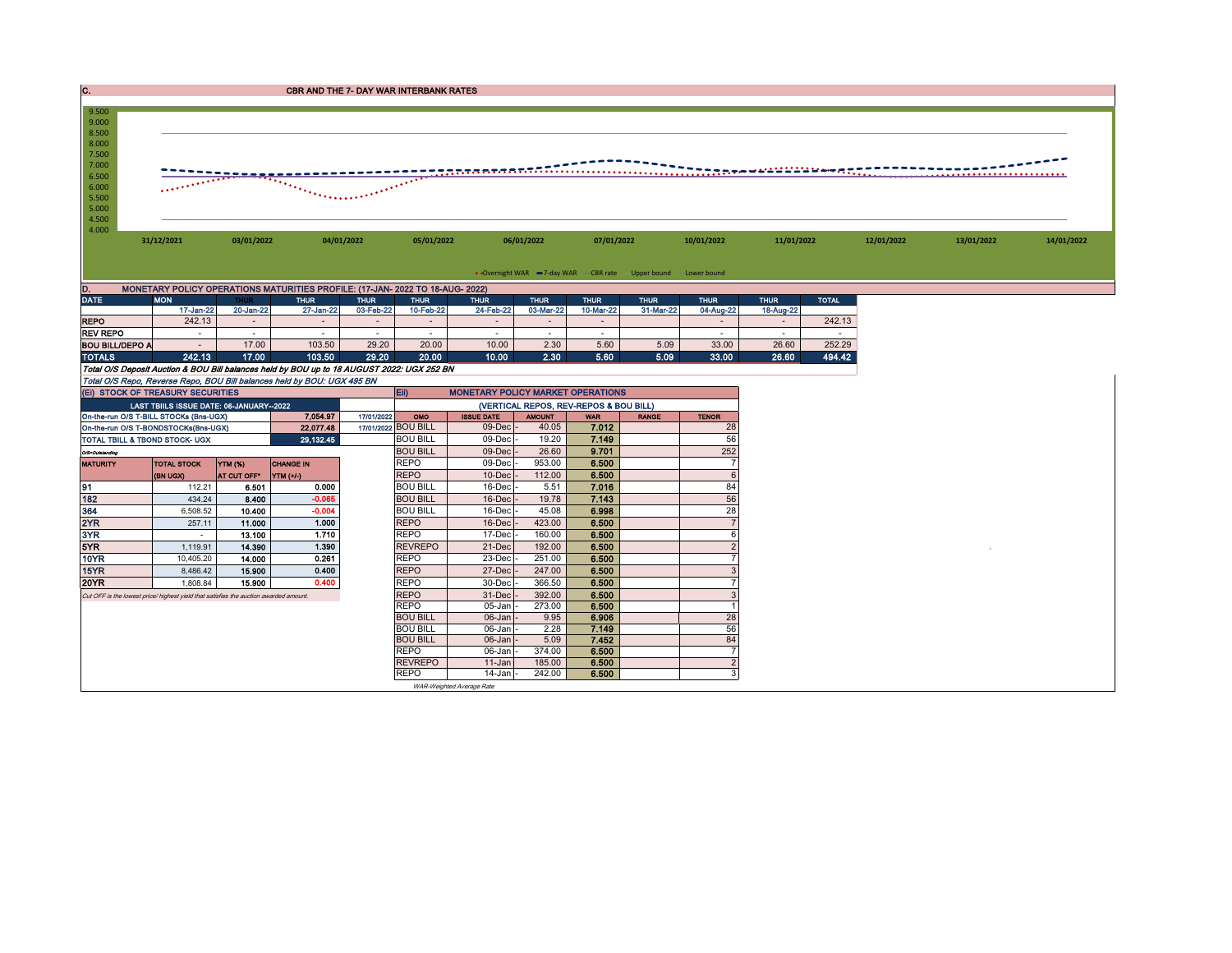| . . | <b>CBR AND THE 7- DAY WAR INTERBANK RATES</b> |
|-----|-----------------------------------------------|
|-----|-----------------------------------------------|



|                        | 17-Jan-22 | 20-Jan-22 | 27-Jan-221 | 03-Feb-22 | 10-Feb-22 | 24-Feb-22 | 03-Mar-22 | 10-Mar-22 | 31-Mar-22 | 04-Aug-22 | 18-Aug-22 |        |
|------------------------|-----------|-----------|------------|-----------|-----------|-----------|-----------|-----------|-----------|-----------|-----------|--------|
| <b>REPO</b>            | 242.13    |           |            |           |           |           |           |           |           |           |           | 242.13 |
| <b>REV REPO</b>        |           |           |            |           |           |           |           |           |           |           |           |        |
| <b>BOU BILL/DEPO A</b> |           | 17.00     | 103.50     | 29.20     | 20.00     | 10.00     | 2.30      | 5.60      | 5.09      | 33.00     | 26.60     | 252.29 |
| <b>TOTALS</b>          | 242.13    | 17.00     | 103.50     | 29.20     | 20.00     | 10.00     | 2.30      | 5.60      | 5.09      | 33.00     | 26.60     | 494.42 |

Total O/S Deposit Auction & BOU Bill balances held by BOU up to 18 AUGUST 2022: UGX 252 BN

|                 |                                                                                       |             | Total O/S Repo, Reverse Repo, BOU Bill balances held by BOU: UGX 495 BN |                                        |                           |               |            |              |                |  |  |  |  |
|-----------------|---------------------------------------------------------------------------------------|-------------|-------------------------------------------------------------------------|----------------------------------------|---------------------------|---------------|------------|--------------|----------------|--|--|--|--|
|                 | Eii)<br><b>MONETARY POLICY MARKET OPERATIONS</b><br>(EI) STOCK OF TREASURY SECURITIES |             |                                                                         |                                        |                           |               |            |              |                |  |  |  |  |
|                 | LAST TBIILS ISSUE DATE: 06-JANUARY-2022                                               |             |                                                                         | (VERTICAL REPOS, REV-REPOS & BOU BILL) |                           |               |            |              |                |  |  |  |  |
|                 | On-the-run O/S T-BILL STOCKs (Bns-UGX)                                                |             | 7.054.97                                                                | 17/01/2022<br>OMO                      | <b>ISSUE DATE</b>         | <b>AMOUNT</b> | <b>WAR</b> | <b>RANGE</b> | <b>TENOR</b>   |  |  |  |  |
|                 | On-the-run O/S T-BONDSTOCKs(Bns-UGX)                                                  |             | 22,077.48                                                               | 17/01/2022 BOU BILL                    | 09-Decl                   | 40.05         | 7.012      |              | 28             |  |  |  |  |
|                 | <b>TOTAL TBILL &amp; TBOND STOCK- UGX</b>                                             |             | 29,132.45                                                               | <b>BOU BILL</b>                        | 09-Dec                    | 19.20         | 7.149      |              | 56             |  |  |  |  |
| O/S=Outstanding |                                                                                       |             |                                                                         | <b>BOU BILL</b>                        | 09-Dec                    | 26.60         | 9.701      |              | 252            |  |  |  |  |
| <b>MATURITY</b> | <b>TOTAL STOCK</b>                                                                    | YTM (%)     | <b>CHANGE IN</b>                                                        | <b>REPO</b>                            | 09-Dec                    | 953.00        | 6.500      |              |                |  |  |  |  |
|                 | (BN UGX)                                                                              | AT CUT OFF* | YTM (+/-)                                                               | <b>REPO</b>                            | $10 - Dec$                | 112.00        | 6.500      |              | 6              |  |  |  |  |
| 91              | 112.21                                                                                | 6.501       | 0.000                                                                   | <b>BOU BILL</b>                        | 16-Dec                    | 5.51          | 7.016      |              | 84             |  |  |  |  |
| 182             | 434.24                                                                                | 8.400       | $-0.065$                                                                | <b>BOU BILL</b>                        | 16-Dec                    | 19.78         | 7.143      |              | 56             |  |  |  |  |
| 364             | 6,508.52                                                                              | 10,400      | $-0.004$                                                                | <b>BOU BILL</b>                        | 16-Dec                    | 45.08         | 6.998      |              | 28             |  |  |  |  |
| 2YR             | 257.11                                                                                | 11.000      | 1.000                                                                   | <b>REPO</b>                            | 16-Dec                    | 423.00        | 6.500      |              |                |  |  |  |  |
| 3YR             | $\sim$                                                                                | 13.100      | 1.710                                                                   | <b>REPO</b>                            | 17-Dec                    | 160.00        | 6.500      |              | 6              |  |  |  |  |
| 5YR             | 1,119.91                                                                              | 14.390      | 1.390                                                                   | <b>REVREPO</b>                         | 21-Dec                    | 192.00        | 6.500      |              |                |  |  |  |  |
| 10YR            | 10.405.20                                                                             | 14.000      | 0.261                                                                   | <b>REPO</b>                            | 23-Dec                    | 251.00        | 6.500      |              |                |  |  |  |  |
| 15YR            | 8.486.42                                                                              | 15.900      | 0.400                                                                   | <b>REPO</b>                            | 27-Dec                    | 247.00        | 6.500      |              | Э              |  |  |  |  |
| <b>20YR</b>     | 1,808.84                                                                              | 15,900      | 0.400                                                                   | <b>REPO</b>                            | 30-Dec                    | 366.50        | 6.500      |              |                |  |  |  |  |
|                 | Cut OFF is the lowest price/ highest yield that satisfies the auction awarded amount. |             |                                                                         | <b>REPO</b>                            | 31-Dec                    | 392.00        | 6.500      |              | 3              |  |  |  |  |
|                 |                                                                                       |             |                                                                         | <b>REPO</b>                            | 05-Jan                    | 273.00        | 6.500      |              |                |  |  |  |  |
|                 |                                                                                       |             |                                                                         | <b>BOU BILL</b>                        | $06$ -Jan                 | 9.95          | 6.906      |              | 28             |  |  |  |  |
|                 |                                                                                       |             |                                                                         | <b>BOU BILL</b>                        | 06-Jan                    | 2.28          | 7.149      |              | 56             |  |  |  |  |
|                 |                                                                                       |             |                                                                         | <b>BOU BILL</b>                        | 06-Jan                    | 5.09          | 7.452      |              | 84             |  |  |  |  |
|                 |                                                                                       |             |                                                                         | <b>REPO</b>                            | 06-Jan                    | 374.00        | 6.500      |              | ۰,             |  |  |  |  |
|                 |                                                                                       |             |                                                                         | <b>REVREPO</b>                         | $11 - Jan$                | 185.00        | 6.500      |              | $\overline{2}$ |  |  |  |  |
|                 |                                                                                       |             |                                                                         | <b>REPO</b>                            | 14-Janl                   | 242.00        | 6.500      |              | 3              |  |  |  |  |
|                 |                                                                                       |             |                                                                         |                                        | WAR-Weighted Average Rate |               |            |              |                |  |  |  |  |